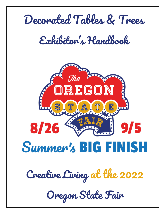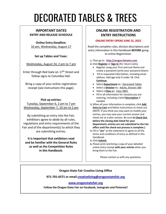# DECORATED TABLES & TREES

#### **IMPORTANT DATES ENTRY AND RELEASE SCHEDULE**

**Online Entry Deadline:** 10 pm, Wednesday, August 17

**Set up Tables and Trees**:

Wednesday, August 24, 2 pm to 7 pm

Enter through Red Gate on 17<sup>th</sup> Street and follow signs to Columbia Hall.

Bring a copy of your online registration receipt (see instructions this page).

#### **Pick up entries:**

Tuesday, September 6, 2 pm to 7 pm Wednesday, September 7, 10 am to 2 pm

By submitting an entry into the Fair, exhibitors agree to abide by all rules, regulations and entry requirements of the Fair and of the department(s) to which they are submitting entries.

**It is important that exhibitors read and be familiar with the General Rules as well as the Competition Rules in this Handbook.**

#### **ONLINE REGISTRATION AND ENTRY INSTRUCTIONS**

#### **ONLINE ENTRY OPENS JUNE 15, 2022**

Read the complete rules, division descriptions and entry information in this Handbook **BEFORE** going to online Registration.

- **1.** Then go to **[http://oregon.fairwire.com](http://oregon.fairwire.com/)**
- **2.** Click **Register** or **Sign In** (for return visits).
	- Register using your First and Last Name and create a password (write your password down).
	- Fill in requested information, including email address. Add age only if under 18. Click **Continue**.
	- Select **Department** ex.: Decorated Tables
	- Select a **Division** ex.: Adults, Division 380
	- Select a **Class** ex: Class 3802
	- Fill in all information for class(es) you are entering, including a brief **Description** if needed.
- **3.** When all your information is complete, click **Add Entry to Cart** and follow instructions to check out. (NOTE: If you think you may want to modify your entries, you may save your current session and check out at a later session. Be sure **to Check Out before the closing date listed for your Department; entries are not submitted to the Fair office until the check-out process is complete.)**
- **4.** Fill in "**yes**" at the statement to agree to all the terms and conditions of entry as defined in this Handbook.
- **5.** Click **Submit**.
- **6.** Please print and bring a copy of your detailed online entry receipt **with your entries** when you bring them to the Fair.

Please contact us with any questions.

#### **Oregon State Fair Creative Living Office**

**971-701-6571 or email [creativeliving@oregonstatefair.org](mailto:creativeliving@oregonstatefair.org)**

#### **[www.oregonstatefair.org](http://www.oregonstatefair.org/)**

**Follow the Oregon State Fair on Facebook, Instagram and Pinterest!**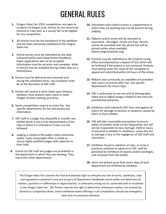## GENERAL RULES

- **1.** Oregon State Fair (OSF) competitions are open to residents of Oregon only. Entries do not need to be entered or have won at a county fair to be eligible for any competition.
- **2.** All articles must be the handiwork of the exhibitor and not been previously exhibited at the Oregon State Fair.
- **3.** Online entries must be submitted by the date indicated within each Department Handbook. Paper applications will not be accepted. Information must be accurate and complete. Walkin entries may be accepted during intake days on a limited basis.
- **4.** Entries must be delivered and removed only during the scheduled times. Any exception shall be at the discretion of OSF staff.
- **5.** Entries will receive a claim check upon delivery. Exhibitor must present claim check or valid Oregon ID when picking up entries.
- **6.** Some competitions require an entry fee. See specific departments for fee and processing information.
- **7.** OSF staff or a judge may disqualify or transfer any exhibit which is not a true representation of the class in which it is entered or if rules are not followed.
- **8.** Judging is closed to the public unless otherwise noted. Every reasonable effort is made to secure highly qualified judges with expertise in their field.
- **9.** Entries by OSF staff and judges are prohibited in the department in which they are working. They may enter other departments.
- **10.** Volunteers who submit entries in a department in which they are working may not be present during judging.
- **11.** Ribbons and/or prizes will be awarded as warranted. All judges' results are final. Results cannot be provided over the phone but will be posted online when available. (www.oregonstatefair.org)
- **12.** Protests may be submitted to the Creative Living office accompanied by a deposit of \$25 which will be forfeited if the protest is not sustained. Protests must plainly state the cause of the complaint or appeal and submitted within 24 hours of the action.
- **13.** Ribbons and scorecards (as available) are provided with return of entries after Fair. See specific departments for return days.
- **14.** OSF is authorized to use any and all photographs, video and or digital images related to the entry for promotional purposes.
- **15.** Exhibitors shall indemnify OSF from and against all claims for damage to persons or property caused by them or their exhibits.
- **16.** OSF will take reasonable precautions to ensure safety of exhibits while on the fairgrounds, but will not be responsible for loss, damage, theft or injury of any kind to exhibits or exhibitors, unless the loss or damage is due to the negligence of OSF staff and volunteers.
- **17.** Exhibitors found in violation of rules, or to be in practices unethical or adverse to OSF, shall be penalized by forfeiture of awards and/or privileges, and removed from the exhibit.
- **18.** Items not picked up by final return days of each department are forfeited by exhibitor.

The Oregon State Fair reserves the final and absolute right to interpret any and all terms, conditions, rules and regulations contained in any and all parts of Department Handbooks and to settle and determine all matters, questions or differences in regard thereto, or otherwise arising out of, connected with or incidental to the Oregon State Fair. OSF further reserves the right to determine unforeseen matters not covered by General or Competition Rules, and to withdraw award offerings in all Competitions should any emergency exist and circumstances demand.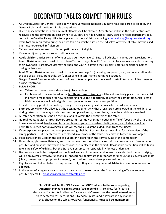### DECORATED TABLES COMPETITION RULES

- 1. All Oregon State Fair General Rules apply. Your submission indicates you have read and agree to abide by the General Rules and the Rules of this competition.
- 2. Due to space limitations, a maximum of 20 tables will be allowed. Acceptance will be in the order entries are received and the competition closes when all 20 slots are filled. Once all entry slots are filled, participants may contact the Creative Living office to be placed on the waitlist by emailing: [creativeliving@oregonstatefair.org](mailto:creativeliving@oregonstatefair.org)
- 3. Exhibitors are required to bring their own table on which to set up their display. Any type of table may be used, but must not exceed 36" diameter.
- 4. Tables previously entered in this competition are not eligible.
- 5. Only one (1) entry per household will be accepted.
- 6. **Adult Division** entries consist of one or two adults over age 17. Enter all exhibitors' names during registration. **Youth Division** entries consist of up to two (2) youths, ages 6 to 17. Youth exhibitors are responsible for setting their own table. Parents/Adults may not help the youth in setting their display. Enter all exhibitors' names during registration.

**Adult/Youth Division** entries consist of one adult over age 18 (parent, grandparent, etc.) and one youth under the age of 18 (child, grandchild, etc.). Enter all exhibitors' names during registration.

**Oregon Award Division** entries consist of one or two people over the age of six (6). Enter all exhibitors' names during registration.

- 7. **PLEASE NOTE:**
	- Tables must have two (and only two) place settings.
	- Exhibitors who have entered in the last three consecutive fairs will be automatically placed on the waitlist in order to make space for new exhibitors to have the opportunity to enter the competition. Also, Best of Division winners will be ineligible to compete in the next year's competition.
- 8. Provide a neatly printed menu (large enough for easy viewing) with items listed in order of service.
- 9. Entry set-up will only be allowed at the designated time. Only those registered are allowed in the exhibit area during set-up. No one may touch their own completed entry, or another's, once the end time is reached.
- 10. All table decoration must be on the table and fit within the perimeters of the table.
- 11. No real foods, liquids, or fresh flowers are permitted. However, non-perishable "fake" foods as well as artificial flowers are allowed. No disposable paper plates, cups or disposable (plastic, wood, etc.) flatware will be permitted. Entries not following this rule will receive a substantial deduction from the judges.
- 12. If centerpieces are placed between place settings, height of centerpieces must allow for a clear view of the dining partners, but if centerpieces are placed in a corner of the table, they may be higher and/or larger.
- 13. Place cards can be used on the tables but are only required in the Formal Class of the competition.
- 14. Linen, china, glassware, flatware, and other accessories should be marked with name or initials of owner when possible, and must not show when accessories are in placed in the exhibit. Reasonable precaution will be taken to ensure safety of exhibits, but the State Fair assumes no responsibility for loss or damage.
- 15. Decorations should be designed for functional service of the menu and follow the established theme. Judging will be on overall creativity, functionality, appearance, tableware (appropriate for menu), table cover/place mats (clean, pressed and appropriate for menu), decorations (centerpiece, place cards, etc.).
- 16. Regular air and helium balloons may be used only if they are totally secured. **Metallic mylar balloons are not allowed.**
- 17. In the event of a registration change or cancellation, please contact the Creative Living office as soon as possible by email: [creativeliving@oregonstatefair.org.](mailto:creativeliving@oregonstatefair.org)

**Class 3803 will be the ONLY class that MUST adhere to the rules regarding American Standard Table Setting** (**see appendix A).** To allow for "creative decorating", entrants in all other Divisions and Classes have the creative freedom to place centerpieces/decorations, silverware, plates and glassware in any manner they choose on the table. However, functionality **must still be maintained.**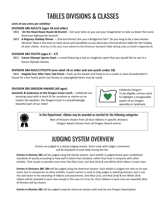### TABLES DIVISIONS & CLASSES

#### **Limit of one entry per exhibitor**

#### **DIVISION 380 ADULTS (ages 18 and older)**

- 3802 **On the Road Down Route 66 Brunch**  Get your kicks as you use your imagination to take us down the iconic American highway for brunch!
- 3803 **A Regency Holiday Dinner**  (Formal Dinner) Are you a Bridgerton fan? Do you long to be a Jane Austen Heroine? Now is the time to have sense and sensibility as you decorate a formal dinner table for the holiday of your choice. (Entries in this class must adhere to the American Standard Table setting rules as listed in Appendix A)

#### **DIVISION 382 YOUTH (ages 6 – 17)**

 3821 **Future Olympic Sports Feast**—a meal featuring a real or imaginary sport that you would like to see in a future Olympic Games.

#### **DIVISION 384 ADULT/YOUTH (one adult 18 or older and one youth under 18)**

 3841 **Happily Ever After Fairy Tale Picnic**—Pack up the basket and head on to a castle or even Grandmother's house for a fun family picnic (no Disney or copyrighted items may be used).

#### **DIVISION 385 OREGON AWARD (All ages)**

**Seashells & Seabreeze at the Oregon Coast Lunch** —celebrate our amazing coast with a lunch fit for sunshine or storms as no matter the weather, the Oregon Coast is a breathtakingly beautiful part of our state!



Celebrate Oregon! To be eligible, entries need to highlight a recognizable aspect of an Oregon specialty or landmark.



In this Department, ribbons may be awarded as merited for the following categories:

Best of Division chosen from all blue ribbons in specific divisions Oregon Award chosen from all Oregon Award entries

### JUDGING SYSTEM OVERVIEW

Entries are judged in a closed judging session. Score cards with Judge's comments will be displayed at each table during the fair.

**Entries in Division 382** will be judged using the Danish System. Each exhibit is judged based upon established standards of quality according to how well it meets that standard, rather than how it compares with other exhibits. That results in possibly more than One Blue (1st), one Red (2nd) & one White (3rd) ribbon in each class.

**Entries in Divisions 380, 384** will be judged using the American System. Each exhibit is judged not only on its own merit, but in comparison to other exhibits. A point system is used to help judges in selecting winners, but is not the sole factor in the awarding of ribbons and placements. One Blue (1st), one Red (2nd) & one White (3rd) ribbon will be awarded in each class except in the case of a true tie. Once ribbons in each class are awarded, Best of Division will be chosen.

**Entries in Division 385** will be judged using the American System with only be one Oregon Award given.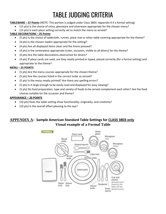### TABLE JUDGING CRITERIA

#### **TABLEWARE – 27 Points** (NOTE: This portion is judged under Class 3803: Appendix A if a formal setting)

- (15 pts) Is the choice of china, glassware and silverware appropriate for the chosen menu?
- (15 pts) Is each place setting correctly set to match the menu as served?

#### **TABLE DECORATIONS – 25 Points**

- (5 pts) Is the choice of tablecloth, runner, place mat or other table covering appropriate for the theme?
- (4 pts) Is the chosen napkin appropriate for the setting?
- (4 pts) Are all displayed items clean and the linens pressed?
- (4 pts) Is the centerpiece appropriate (color, occasion, visible to all diners) for the theme?
- (4 pts) Are the table decorations obstructive for diners?
- (4 pts) If place cards are used, are they neatly printed or typed, placed correctly (for a formal setting) and appropriate to the theme?

#### **MENU – 25 POINTS**

- (5 pts) Are the menu courses appropriate for the chosen theme?
- (5 pts) Are the courses listed in the correct order as served?
- (5 pts) Is the menu neatly printed? Are there any spelling errors?
- (5 pts) Is it large enough to be easily read and displayed for easy viewing?
- (5 pts) Do food preparation, type and variety of foods to be served complement each other? Are the food choices suitable for the occasion and theme?

#### **APPEARANCE – 20 POINTS**

- (10 pts) Does the table setting show functionality, originality, and creativity?
- (10 pts) Is the overall effect pleasing to the eye?

#### **APPENDIX A: Sample American Standard Table Settings for CLASS 3803 only Visual example of a Formal Table**

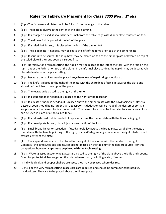#### **Rules for Tableware Placement for** *Class 3803* **(Worth 27 pts)**

- 1. (1 pt) The flatware and plate should be 1 inch from the edge of the table.
- 2. (1 pt) The plate is always in the center of the place setting.
- 3. (1 pt) If a charger is used, it should be set 1 inch from the table edge with dinner plate centered on top.
- 4. (1 pt) The dinner fork is placed at the left of the plate.
- 5. (1 pt) If a salad fork is used, it is placed to the left of the dinner fork.
- 6. (1 pt) The salad plate, if needed, may be set to the left of the forks or on top of the dinner plate.
- 7. (1 pt) If soup is to be served, the soup bowl may be placed on top of the dinner plate or layered on top of the salad plate if the soup course is served first.
- 8. (1 pt) Normally, for a formal setting, the napkin may be placed to the left of the fork, with the fold on the right, under the forks, or on top of the plate. In an informal place setting, the napkin may be decoratively placed elsewhere in the place setting.
- 9. (1 pt) Because the napkins may be placed anywhere, use of napkin rings is optional.
- 10. (1 pt) The knife is placed to the right of the plate with the sharp blade facing in towards the plate and should be 1 inch from the edge of the plate.
- 11. (1 pt) The teaspoon is placed to the right of the knife.
- 12. (1 pt) If a soup spoon is needed, it is placed to the right of the teaspoon.
- 13. (1 pt) If a dessert spoon is needed, it is placed above the dinner plate with the bowl facing left. Note: a dessert spoon should be no larger than a teaspoon. A deduction will be made if the dessert spoon is a soup spoon or the dessert for is a dinner fork. (The dessert fork is similar to a salad fork and a salad fork can be used in place of a specialized fork.)
- 14. (1 pt) If a cake/dessert fork is needed, it is placed above the dinner plate with the tines facing right.
- 15. (1 pt) If a bread plate is used, place it just above the tip of the fork.
- 16. (1 pt) Small bread knives or spreaders, if used, should lay across the bread plate, parallel to the edge of the table with the handle pointing to the right, or at a 45-degree angle, handle to the right, blade turned toward center of the plate.
- 17. (1 pt) The cup and saucer are to be placed to the right of the spoons with the handle to the right. Generally, the coffee/tea cup and saucer are not placed on the table until the dessert course. For this competition however**, cups must be placed with the table setting.**
- 18. (5 pts) Water glasses and/or wine glasses are placed to the right of the plate above the knife and spoons. Don't forget to list all beverages on the printed menu card, including water, if served.
- 19. If individual salt and pepper shakers are used, they may be placed where desired.
- 20. (5 pts) For this very formal setting, place cards are required and should be computer generated vs. handwritten. They are to be placed above the dinner plate.